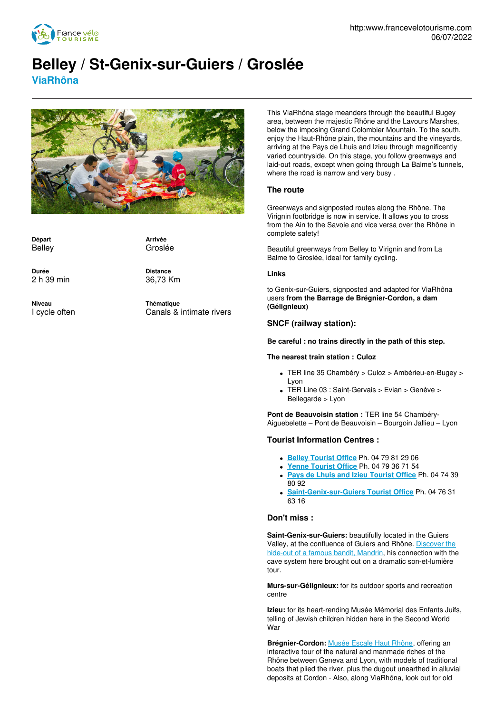

# **Belley / St-Genix-sur-Guiers / Groslée**

**ViaRhôna**



**Départ** Belley

**Arrivée** Groslée

**Durée** 2 h 39 min **Distance** 36,73 Km

**Niveau** I cycle often **Thématique** Canals & intimate rivers

This ViaRhôna stage meanders through the beautiful Bugey area, between the majestic Rhône and the Lavours Marshes, below the imposing Grand Colombier Mountain. To the south, enjoy the Haut-Rhône plain, the mountains and the vineyards, arriving at the Pays de Lhuis and Izieu through magnificently varied countryside. On this stage, you follow greenways and laid-out roads, except when going through La Balme's tunnels, where the road is narrow and very busy .

# **The route**

Greenways and signposted routes along the Rhône. The Virignin footbridge is now in service. It allows you to cross from the Ain to the Savoie and vice versa over the Rhône in complete safety!

Beautiful greenways from Belley to Virignin and from La Balme to Groslée, ideal for family cycling.

#### **Links**

to Genix-sur-Guiers, signposted and adapted for ViaRhôna users **from the Barrage de Brégnier-Cordon, a dam (Gélignieux)**

# **SNCF (railway station):**

**Be careful : no trains directly in the path of this step.**

#### **The nearest train station : Culoz**

- TER line 35 Chambéry > Culoz > Ambérieu-en-Bugey > Lyon
- TER Line 03 : Saint-Gervais > Evian > Genève > Bellegarde > Lyon

**Pont de Beauvoisin station :** TER line 54 Chambéry-Aiguebelette – Pont de Beauvoisin – Bourgoin Jallieu – Lyon

## **Tourist Information Centres :**

- **Belley [Tourist](http://www.tourisme-belley-bas-bugey.fr/) Office** Ph. 04 79 81 29 06
- **Yenne [Tourist](http://www.yenne-tourisme.fr/) Office** Ph. 04 79 36 71 54
- **Pays de Lhuis and Izieu [Tourist](http://www.tourismelhuis.fr/) Office** Ph. 04 74 39 80 92
- **[Saint-Genix-sur-Guiers](http://www.valguiers.com/) Tourist Office** Ph. 04 76 31 63 16

#### **Don't miss :**

**Saint-Genix-sur-Guiers:** beautifully located in the Guiers Valley, at the [confluence](http://www.repaire-mandrin.fr/) of Guiers and Rhône. Discover the hide-out of a famous bandit, Mandrin, his connection with the cave system here brought out on a dramatic son-et-lumière tour.

**Murs-sur-Gélignieux:** for its outdoor sports and recreation centre

**Izieu:** for its heart-rending Musée Mémorial des Enfants Juifs, telling of Jewish children hidden here in the Second World War

**Brégnier-Cordon:** [Musée](http://www.escalehautrhone.fr/) Escale Haut Rhône, offering an interactive tour of the natural and manmade riches of the Rhône between Geneva and Lyon, with models of traditional boats that plied the river, plus the dugout unearthed in alluvial deposits at Cordon - Also, along ViaRhôna, look out for old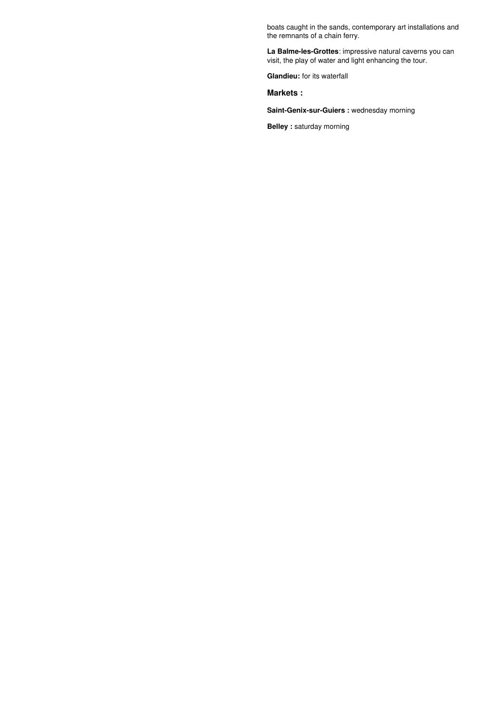boats caught in the sands, contemporary art installations and the remnants of a chain ferry.

**La Balme-les-Grottes**: impressive natural caverns you can visit, the play of water and light enhancing the tour.

**Glandieu:** for its waterfall

**Markets :**

**Saint-Genix-sur-Guiers :** wednesday morning

**Belley :** saturday morning